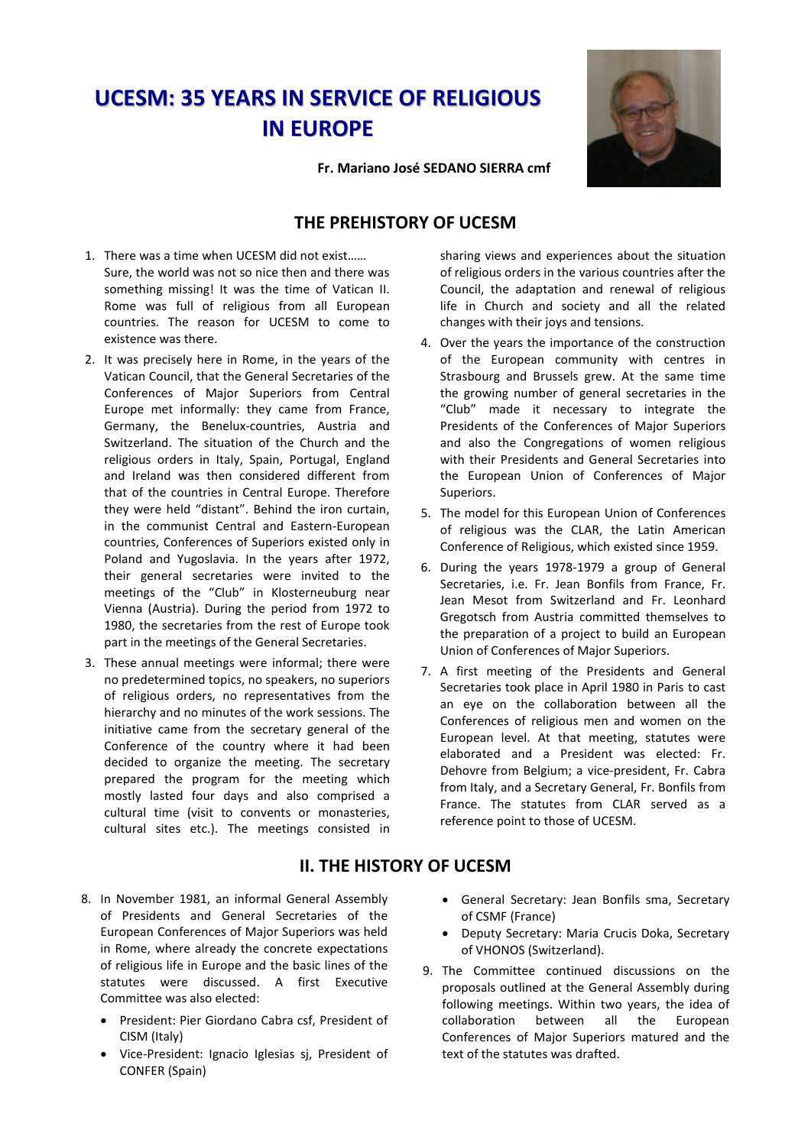## **UCESM: 35 YEARS IN SERVICE OF RELIGIOUS IN EUROPE**

**Fr. Mariano José SEDANO SIERRA cmf**

## **THE PREHISTORY OF UCESM**

- 1. There was a time when UCESM did not exist…… Sure, the world was not so nice then and there was something missing! It was the time of Vatican II. Rome was full of religious from all European countries. The reason for UCESM to come to existence was there.
- 2. It was precisely here in Rome, in the years of the Vatican Council, that the General Secretaries of the Conferences of Major Superiors from Central Europe met informally: they came from France, Germany, the Benelux-countries, Austria and Switzerland. The situation of the Church and the religious orders in Italy, Spain, Portugal, England and Ireland was then considered different from that of the countries in Central Europe. Therefore they were held "distant". Behind the iron curtain, in the communist Central and Eastern-European countries, Conferences of Superiors existed only in Poland and Yugoslavia. In the years after 1972, their general secretaries were invited to the meetings of the "Club" in Klosterneuburg near Vienna (Austria). During the period from 1972 to 1980, the secretaries from the rest of Europe took part in the meetings of the General Secretaries.
- 3. These annual meetings were informal; there were no predetermined topics, no speakers, no superiors of religious orders, no representatives from the hierarchy and no minutes of the work sessions. The initiative came from the secretary general of the Conference of the country where it had been decided to organize the meeting. The secretary prepared the program for the meeting which mostly lasted four days and also comprised a cultural time (visit to convents or monasteries, cultural sites etc.). The meetings consisted in
- 8. In November 1981, an informal General Assembly of Presidents and General Secretaries of the European Conferences of Major Superiors was held in Rome, where already the concrete expectations of religious life in Europe and the basic lines of the statutes were discussed. A first Executive Committee was also elected:
	- President: Pier Giordano Cabra csf, President of CISM (Italy)
	- Vice-President: Ignacio Iglesias sj, President of CONFER (Spain)

sharing views and experiences about the situation of religious orders in the various countries after the Council, the adaptation and renewal of religious life in Church and society and all the related changes with their joys and tensions.

- 4. Over the years the importance of the construction of the European community with centres in Strasbourg and Brussels grew. At the same time the growing number of general secretaries in the "Club" made it necessary to integrate the Presidents of the Conferences of Major Superiors and also the Congregations of women religious with their Presidents and General Secretaries into the European Union of Conferences of Major Superiors.
- 5. The model for this European Union of Conferences of religious was the CLAR, the Latin American Conference of Religious, which existed since 1959.
- 6. During the years 1978-1979 a group of General Secretaries, i.e. Fr. Jean Bonfils from France, Fr. Jean Mesot from Switzerland and Fr. Leonhard Gregotsch from Austria committed themselves to the preparation of a project to build an European Union of Conferences of Major Superiors.
- 7. A first meeting of the Presidents and General Secretaries took place in April 1980 in Paris to cast an eye on the collaboration between all the Conferences of religious men and women on the European level. At that meeting, statutes were elaborated and a President was elected: Fr. Dehovre from Belgium; a vice-president, Fr. Cabra from Italy, and a Secretary General, Fr. Bonfils from France. The statutes from CLAR served as a reference point to those of UCESM.

## **II. THE HISTORY OF UCESM**

- General Secretary: Jean Bonfils sma, Secretary of CSMF (France)
- Deputy Secretary: Maria Crucis Doka, Secretary of VHONOS (Switzerland).
- 9. The Committee continued discussions on the proposals outlined at the General Assembly during following meetings. Within two years, the idea of collaboration between all the European Conferences of Major Superiors matured and the text of the statutes was drafted.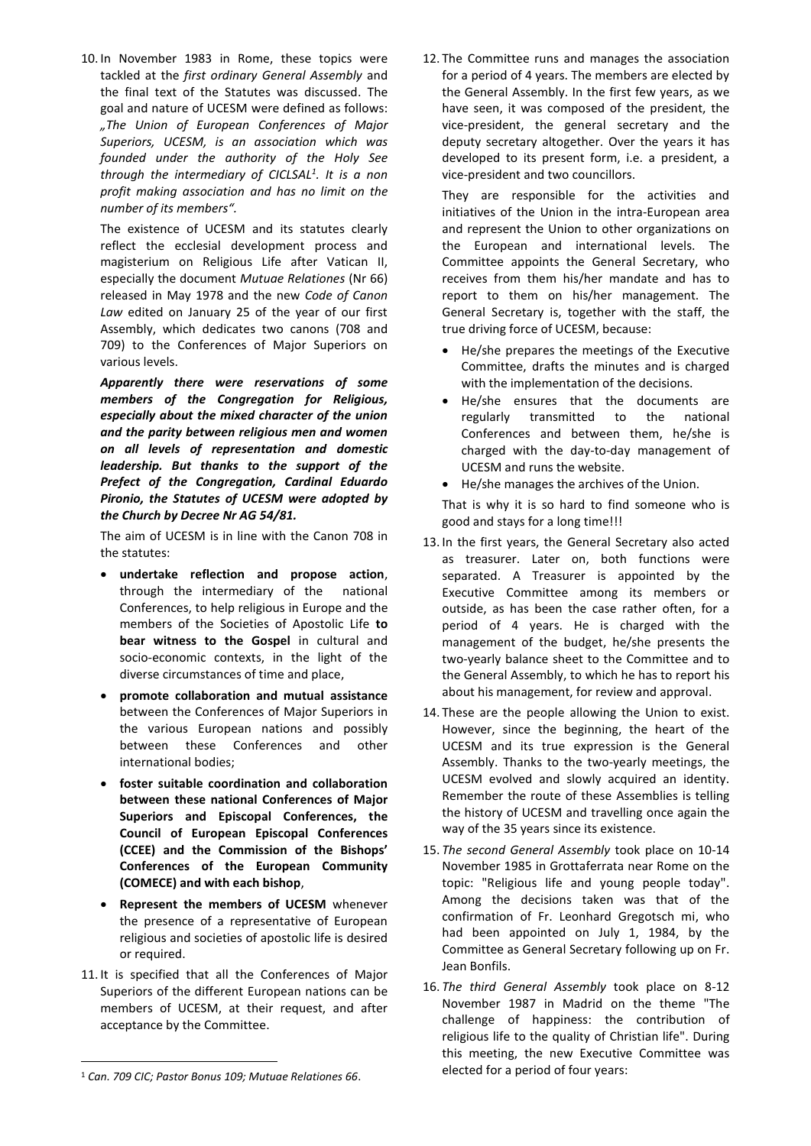10. In November 1983 in Rome, these topics were tackled at the *first ordinary General Assembly* and the final text of the Statutes was discussed. The goal and nature of UCESM were defined as follows: *"The Union of European Conferences of Major Superiors, UCESM, is an association which was founded under the authority of the Holy See through the intermediary of CICLSAL<sup>1</sup> . It is a non profit making association and has no limit on the number of its members".*

The existence of UCESM and its statutes clearly reflect the ecclesial development process and magisterium on Religious Life after Vatican II, especially the document *Mutuae Relationes* (Nr 66) released in May 1978 and the new *Code of Canon Law* edited on January 25 of the year of our first Assembly, which dedicates two canons (708 and 709) to the Conferences of Major Superiors on various levels.

*Apparently there were reservations of some members of the Congregation for Religious, especially about the mixed character of the union and the parity between religious men and women on all levels of representation and domestic leadership. But thanks to the support of the Prefect of the Congregation, Cardinal Eduardo Pironio, the Statutes of UCESM were adopted by the Church by Decree Nr AG 54/81.*

The aim of UCESM is in line with the Canon 708 in the statutes:

- **undertake reflection and propose action**, through the intermediary of the national Conferences, to help religious in Europe and the members of the Societies of Apostolic Life **to bear witness to the Gospel** in cultural and socio-economic contexts, in the light of the diverse circumstances of time and place,
- **promote collaboration and mutual assistance** between the Conferences of Major Superiors in the various European nations and possibly between these Conferences and other international bodies;
- **foster suitable coordination and collaboration between these national Conferences of Major Superiors and Episcopal Conferences, the Council of European Episcopal Conferences (CCEE) and the Commission of the Bishops' Conferences of the European Community (COMECE) and with each bishop**,
- **Represent the members of UCESM** whenever the presence of a representative of European religious and societies of apostolic life is desired or required.
- 11. It is specified that all the Conferences of Major Superiors of the different European nations can be members of UCESM, at their request, and after acceptance by the Committee.

 $\overline{a}$ 

12. The Committee runs and manages the association for a period of 4 years. The members are elected by the General Assembly. In the first few years, as we have seen, it was composed of the president, the vice-president, the general secretary and the deputy secretary altogether. Over the years it has developed to its present form, i.e. a president, a vice-president and two councillors.

They are responsible for the activities and initiatives of the Union in the intra-European area and represent the Union to other organizations on the European and international levels. The Committee appoints the General Secretary, who receives from them his/her mandate and has to report to them on his/her management. The General Secretary is, together with the staff, the true driving force of UCESM, because:

- He/she prepares the meetings of the Executive Committee, drafts the minutes and is charged with the implementation of the decisions.
- He/she ensures that the documents are regularly transmitted to the national Conferences and between them, he/she is charged with the day-to-day management of UCESM and runs the website.
- He/she manages the archives of the Union.

That is why it is so hard to find someone who is good and stays for a long time!!!

- 13. In the first years, the General Secretary also acted as treasurer. Later on, both functions were separated. A Treasurer is appointed by the Executive Committee among its members or outside, as has been the case rather often, for a period of 4 years. He is charged with the management of the budget, he/she presents the two-yearly balance sheet to the Committee and to the General Assembly, to which he has to report his about his management, for review and approval.
- 14. These are the people allowing the Union to exist. However, since the beginning, the heart of the UCESM and its true expression is the General Assembly. Thanks to the two-yearly meetings, the UCESM evolved and slowly acquired an identity. Remember the route of these Assemblies is telling the history of UCESM and travelling once again the way of the 35 years since its existence.
- 15. *The second General Assembly* took place on 10-14 November 1985 in Grottaferrata near Rome on the topic: "Religious life and young people today". Among the decisions taken was that of the confirmation of Fr. Leonhard Gregotsch mi, who had been appointed on July 1, 1984, by the Committee as General Secretary following up on Fr. Jean Bonfils.
- 16. *The third General Assembly* took place on 8-12 November 1987 in Madrid on the theme "The challenge of happiness: the contribution of religious life to the quality of Christian life". During this meeting, the new Executive Committee was elected for a period of four years:

<sup>1</sup> *Can. 709 CIC; Pastor Bonus 109; Mutuae Relationes 66*.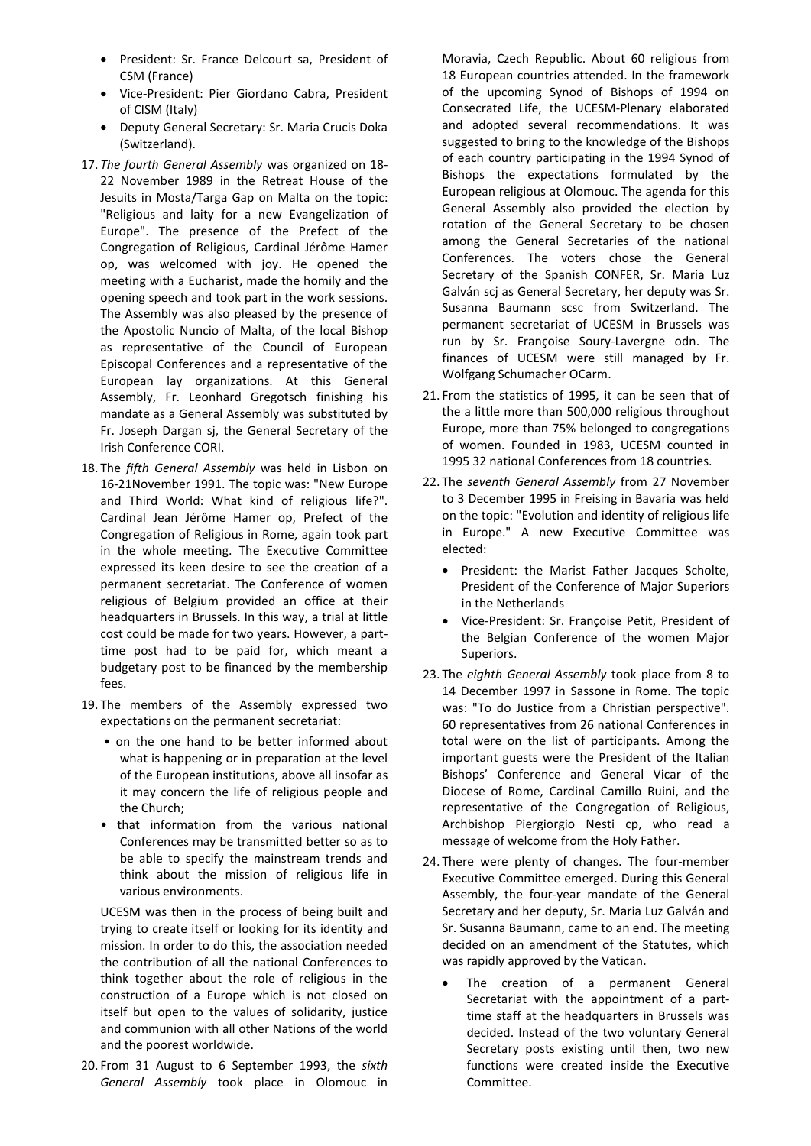- President: Sr. France Delcourt sa, President of CSM (France)
- Vice-President: Pier Giordano Cabra, President of CISM (Italy)
- Deputy General Secretary: Sr. Maria Crucis Doka (Switzerland).
- 17. *The fourth General Assembly* was organized on 18- 22 November 1989 in the Retreat House of the Jesuits in Mosta/Targa Gap on Malta on the topic: "Religious and laity for a new Evangelization of Europe". The presence of the Prefect of the Congregation of Religious, Cardinal Jérôme Hamer op, was welcomed with joy. He opened the meeting with a Eucharist, made the homily and the opening speech and took part in the work sessions. The Assembly was also pleased by the presence of the Apostolic Nuncio of Malta, of the local Bishop as representative of the Council of European Episcopal Conferences and a representative of the European lay organizations. At this General Assembly, Fr. Leonhard Gregotsch finishing his mandate as a General Assembly was substituted by Fr. Joseph Dargan sj, the General Secretary of the Irish Conference CORI.
- 18. The *fifth General Assembly* was held in Lisbon on 16-21November 1991. The topic was: "New Europe and Third World: What kind of religious life?". Cardinal Jean Jérôme Hamer op, Prefect of the Congregation of Religious in Rome, again took part in the whole meeting. The Executive Committee expressed its keen desire to see the creation of a permanent secretariat. The Conference of women religious of Belgium provided an office at their headquarters in Brussels. In this way, a trial at little cost could be made for two years. However, a parttime post had to be paid for, which meant a budgetary post to be financed by the membership fees.
- 19. The members of the Assembly expressed two expectations on the permanent secretariat:
	- on the one hand to be better informed about what is happening or in preparation at the level of the European institutions, above all insofar as it may concern the life of religious people and the Church;
	- that information from the various national Conferences may be transmitted better so as to be able to specify the mainstream trends and think about the mission of religious life in various environments.

UCESM was then in the process of being built and trying to create itself or looking for its identity and mission. In order to do this, the association needed the contribution of all the national Conferences to think together about the role of religious in the construction of a Europe which is not closed on itself but open to the values of solidarity, justice and communion with all other Nations of the world and the poorest worldwide.

20. From 31 August to 6 September 1993, the *sixth General Assembly* took place in Olomouc in

Moravia, Czech Republic. About 60 religious from 18 European countries attended. In the framework of the upcoming Synod of Bishops of 1994 on Consecrated Life, the UCESM-Plenary elaborated and adopted several recommendations. It was suggested to bring to the knowledge of the Bishops of each country participating in the 1994 Synod of Bishops the expectations formulated by the European religious at Olomouc. The agenda for this General Assembly also provided the election by rotation of the General Secretary to be chosen among the General Secretaries of the national Conferences. The voters chose the General Secretary of the Spanish CONFER, Sr. Maria Luz Galván scj as General Secretary, her deputy was Sr. Susanna Baumann scsc from Switzerland. The permanent secretariat of UCESM in Brussels was run by Sr. Françoise Soury-Lavergne odn. The finances of UCESM were still managed by Fr. Wolfgang Schumacher OCarm.

- 21. From the statistics of 1995, it can be seen that of the a little more than 500,000 religious throughout Europe, more than 75% belonged to congregations of women. Founded in 1983, UCESM counted in 1995 32 national Conferences from 18 countries.
- 22. The *seventh General Assembly* from 27 November to 3 December 1995 in Freising in Bavaria was held on the topic: "Evolution and identity of religious life in Europe." A new Executive Committee was elected:
	- President: the Marist Father Jacques Scholte, President of the Conference of Major Superiors in the Netherlands
	- Vice-President: Sr. Françoise Petit, President of the Belgian Conference of the women Major Superiors.
- 23. The *eighth General Assembly* took place from 8 to 14 December 1997 in Sassone in Rome. The topic was: "To do Justice from a Christian perspective". 60 representatives from 26 national Conferences in total were on the list of participants. Among the important guests were the President of the Italian Bishops' Conference and General Vicar of the Diocese of Rome, Cardinal Camillo Ruini, and the representative of the Congregation of Religious, Archbishop Piergiorgio Nesti cp, who read a message of welcome from the Holy Father.
- 24. There were plenty of changes. The four-member Executive Committee emerged. During this General Assembly, the four-year mandate of the General Secretary and her deputy, Sr. Maria Luz Galván and Sr. Susanna Baumann, came to an end. The meeting decided on an amendment of the Statutes, which was rapidly approved by the Vatican.
	- The creation of a permanent General Secretariat with the appointment of a parttime staff at the headquarters in Brussels was decided. Instead of the two voluntary General Secretary posts existing until then, two new functions were created inside the Executive Committee.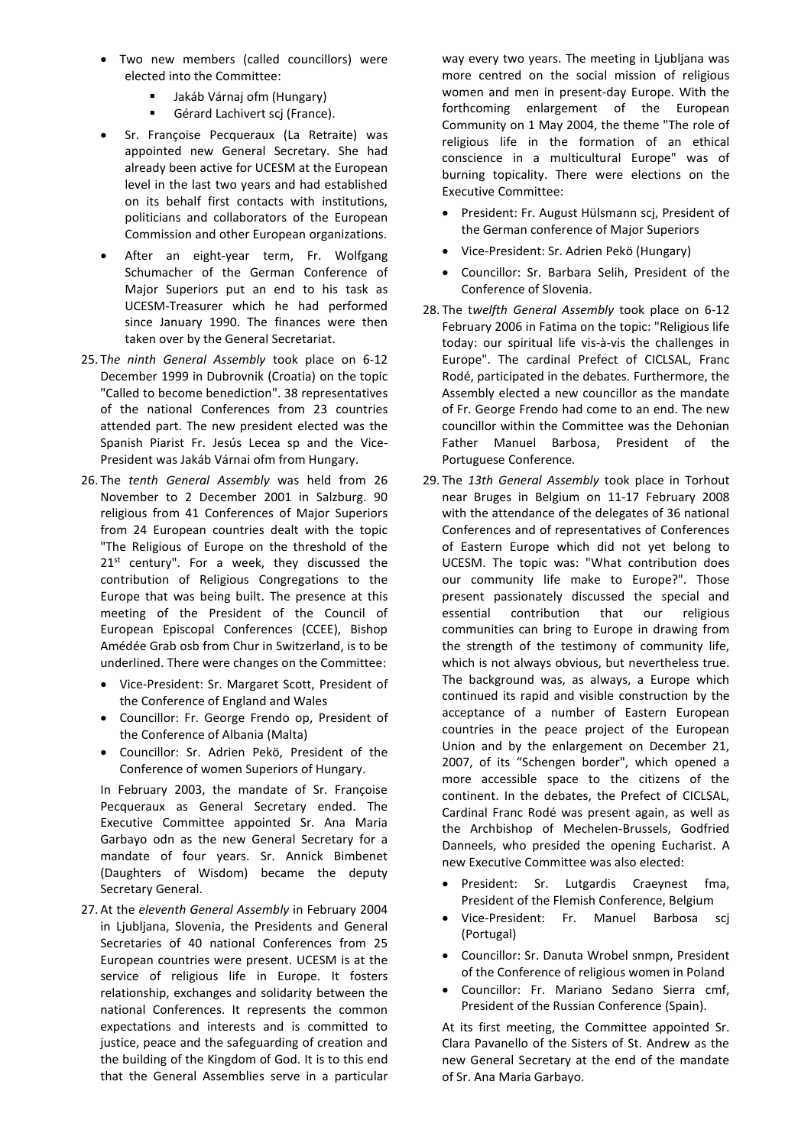- Two new members (called councillors) were elected into the Committee:
	- Jakáb Várnaj ofm (Hungary)
	- Gérard Lachivert scj (France).
- Sr. Françoise Pecqueraux (La Retraite) was appointed new General Secretary. She had already been active for UCESM at the European level in the last two years and had established on its behalf first contacts with institutions, politicians and collaborators of the European Commission and other European organizations.
- After an eight-year term, Fr. Wolfgang Schumacher of the German Conference of Major Superiors put an end to his task as UCESM-Treasurer which he had performed since January 1990. The finances were then taken over by the General Secretariat.
- 25. T*he ninth General Assembly* took place on 6-12 December 1999 in Dubrovnik (Croatia) on the topic "Called to become benediction". 38 representatives of the national Conferences from 23 countries attended part. The new president elected was the Spanish Piarist Fr. Jesús Lecea sp and the Vice-President was Jakáb Várnai ofm from Hungary.
- 26. The *tenth General Assembly* was held from 26 November to 2 December 2001 in Salzburg. 90 religious from 41 Conferences of Major Superiors from 24 European countries dealt with the topic "The Religious of Europe on the threshold of the 21<sup>st</sup> century". For a week, they discussed the contribution of Religious Congregations to the Europe that was being built. The presence at this meeting of the President of the Council of European Episcopal Conferences (CCEE), Bishop Amédée Grab osb from Chur in Switzerland, is to be underlined. There were changes on the Committee:
	- Vice-President: Sr. Margaret Scott, President of the Conference of England and Wales
	- Councillor: Fr. George Frendo op, President of the Conference of Albania (Malta)
	- Councillor: Sr. Adrien Pekö, President of the Conference of women Superiors of Hungary.

In February 2003, the mandate of Sr. Françoise Pecqueraux as General Secretary ended. The Executive Committee appointed Sr. Ana Maria Garbayo odn as the new General Secretary for a mandate of four years. Sr. Annick Bimbenet (Daughters of Wisdom) became the deputy Secretary General.

27. At the *eleventh General Assembly* in February 2004 in Ljubljana, Slovenia, the Presidents and General Secretaries of 40 national Conferences from 25 European countries were present. UCESM is at the service of religious life in Europe. It fosters relationship, exchanges and solidarity between the national Conferences. It represents the common expectations and interests and is committed to justice, peace and the safeguarding of creation and the building of the Kingdom of God. It is to this end that the General Assemblies serve in a particular way every two years. The meeting in Ljubljana was more centred on the social mission of religious women and men in present-day Europe. With the forthcoming enlargement of the European Community on 1 May 2004, the theme "The role of religious life in the formation of an ethical conscience in a multicultural Europe" was of burning topicality. There were elections on the Executive Committee:

- President: Fr. August Hülsmann scj, President of the German conference of Major Superiors
- Vice-President: Sr. Adrien Pekö (Hungary)
- Councillor: Sr. Barbara Selih, President of the Conference of Slovenia.
- 28. The t*welfth General Assembly* took place on 6-12 February 2006 in Fatima on the topic: "Religious life today: our spiritual life vis-à-vis the challenges in Europe". The cardinal Prefect of CICLSAL, Franc Rodé, participated in the debates. Furthermore, the Assembly elected a new councillor as the mandate of Fr. George Frendo had come to an end. The new councillor within the Committee was the Dehonian Father Manuel Barbosa, President of the Portuguese Conference.
- 29. The *13th General Assembly* took place in Torhout near Bruges in Belgium on 11-17 February 2008 with the attendance of the delegates of 36 national Conferences and of representatives of Conferences of Eastern Europe which did not yet belong to UCESM. The topic was: "What contribution does our community life make to Europe?". Those present passionately discussed the special and essential contribution that our religious communities can bring to Europe in drawing from the strength of the testimony of community life, which is not always obvious, but nevertheless true. The background was, as always, a Europe which continued its rapid and visible construction by the acceptance of a number of Eastern European countries in the peace project of the European Union and by the enlargement on December 21, 2007, of its "Schengen border", which opened a more accessible space to the citizens of the continent. In the debates, the Prefect of CICLSAL, Cardinal Franc Rodé was present again, as well as the Archbishop of Mechelen-Brussels, Godfried Danneels, who presided the opening Eucharist. A new Executive Committee was also elected:
	- President: Sr. Lutgardis Craeynest fma, President of the Flemish Conference, Belgium
	- Vice-President: Fr. Manuel Barbosa scj (Portugal)
	- Councillor: Sr. Danuta Wrobel snmpn, President of the Conference of religious women in Poland
	- Councillor: Fr. Mariano Sedano Sierra cmf, President of the Russian Conference (Spain).

At its first meeting, the Committee appointed Sr. Clara Pavanello of the Sisters of St. Andrew as the new General Secretary at the end of the mandate of Sr. Ana Maria Garbayo.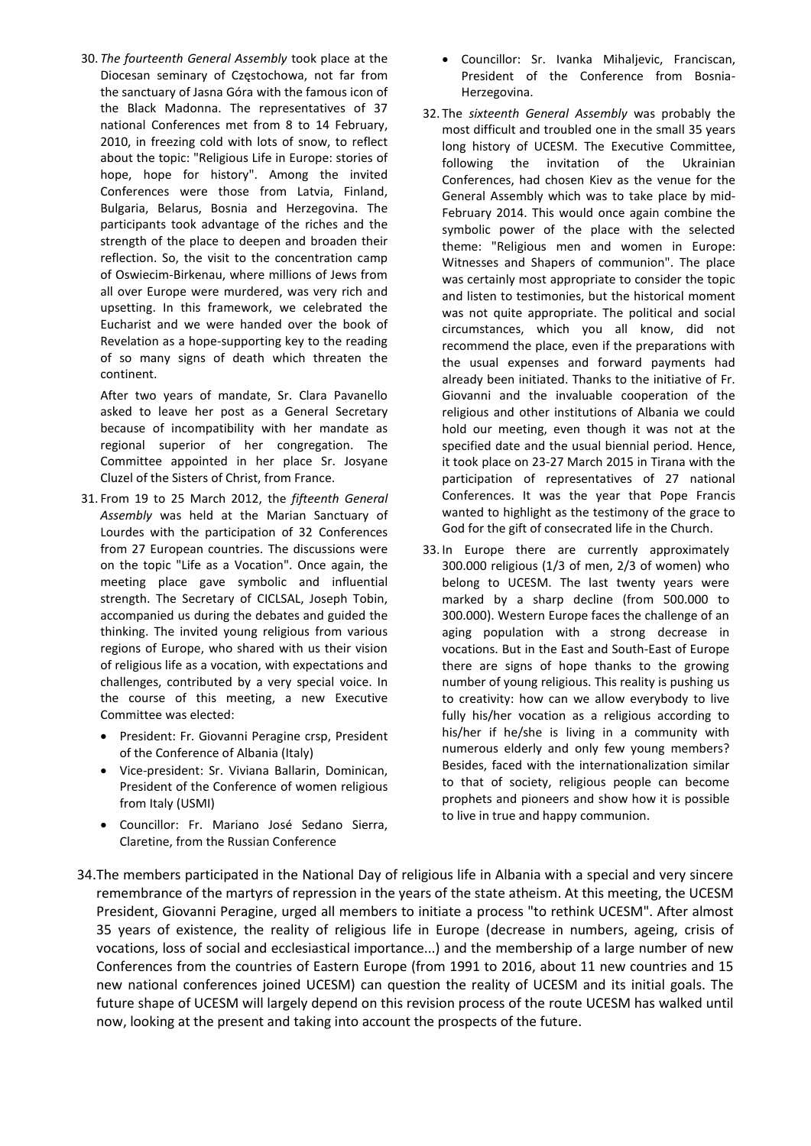30. *The fourteenth General Assembly* took place at the Diocesan seminary of Częstochowa, not far from the sanctuary of Jasna Góra with the famous icon of the Black Madonna. The representatives of 37 national Conferences met from 8 to 14 February, 2010, in freezing cold with lots of snow, to reflect about the topic: "Religious Life in Europe: stories of hope, hope for history". Among the invited Conferences were those from Latvia, Finland, Bulgaria, Belarus, Bosnia and Herzegovina. The participants took advantage of the riches and the strength of the place to deepen and broaden their reflection. So, the visit to the concentration camp of Oswiecim-Birkenau, where millions of Jews from all over Europe were murdered, was very rich and upsetting. In this framework, we celebrated the Eucharist and we were handed over the book of Revelation as a hope-supporting key to the reading of so many signs of death which threaten the continent.

After two years of mandate, Sr. Clara Pavanello asked to leave her post as a General Secretary because of incompatibility with her mandate as regional superior of her congregation. The Committee appointed in her place Sr. Josyane Cluzel of the Sisters of Christ, from France.

- 31. From 19 to 25 March 2012, the *fifteenth General Assembly* was held at the Marian Sanctuary of Lourdes with the participation of 32 Conferences from 27 European countries. The discussions were on the topic "Life as a Vocation". Once again, the meeting place gave symbolic and influential strength. The Secretary of CICLSAL, Joseph Tobin, accompanied us during the debates and guided the thinking. The invited young religious from various regions of Europe, who shared with us their vision of religious life as a vocation, with expectations and challenges, contributed by a very special voice. In the course of this meeting, a new Executive Committee was elected:
	- President: Fr. Giovanni Peragine crsp, President of the Conference of Albania (Italy)
	- Vice-president: Sr. Viviana Ballarin, Dominican, President of the Conference of women religious from Italy (USMI)
	- Councillor: Fr. Mariano José Sedano Sierra, Claretine, from the Russian Conference
- Councillor: Sr. Ivanka Mihaljevic, Franciscan, President of the Conference from Bosnia-Herzegovina.
- 32. The *sixteenth General Assembly* was probably the most difficult and troubled one in the small 35 years long history of UCESM. The Executive Committee, following the invitation of the Ukrainian Conferences, had chosen Kiev as the venue for the General Assembly which was to take place by mid-February 2014. This would once again combine the symbolic power of the place with the selected theme: "Religious men and women in Europe: Witnesses and Shapers of communion". The place was certainly most appropriate to consider the topic and listen to testimonies, but the historical moment was not quite appropriate. The political and social circumstances, which you all know, did not recommend the place, even if the preparations with the usual expenses and forward payments had already been initiated. Thanks to the initiative of Fr. Giovanni and the invaluable cooperation of the religious and other institutions of Albania we could hold our meeting, even though it was not at the specified date and the usual biennial period. Hence, it took place on 23-27 March 2015 in Tirana with the participation of representatives of 27 national Conferences. It was the year that Pope Francis wanted to highlight as the testimony of the grace to God for the gift of consecrated life in the Church.
- 33. In Europe there are currently approximately 300.000 religious (1/3 of men, 2/3 of women) who belong to UCESM. The last twenty years were marked by a sharp decline (from 500.000 to 300.000). Western Europe faces the challenge of an aging population with a strong decrease in vocations. But in the East and South-East of Europe there are signs of hope thanks to the growing number of young religious. This reality is pushing us to creativity: how can we allow everybody to live fully his/her vocation as a religious according to his/her if he/she is living in a community with numerous elderly and only few young members? Besides, faced with the internationalization similar to that of society, religious people can become prophets and pioneers and show how it is possible to live in true and happy communion.
- 34.The members participated in the National Day of religious life in Albania with a special and very sincere remembrance of the martyrs of repression in the years of the state atheism. At this meeting, the UCESM President, Giovanni Peragine, urged all members to initiate a process "to rethink UCESM". After almost 35 years of existence, the reality of religious life in Europe (decrease in numbers, ageing, crisis of vocations, loss of social and ecclesiastical importance...) and the membership of a large number of new Conferences from the countries of Eastern Europe (from 1991 to 2016, about 11 new countries and 15 new national conferences joined UCESM) can question the reality of UCESM and its initial goals. The future shape of UCESM will largely depend on this revision process of the route UCESM has walked until now, looking at the present and taking into account the prospects of the future.